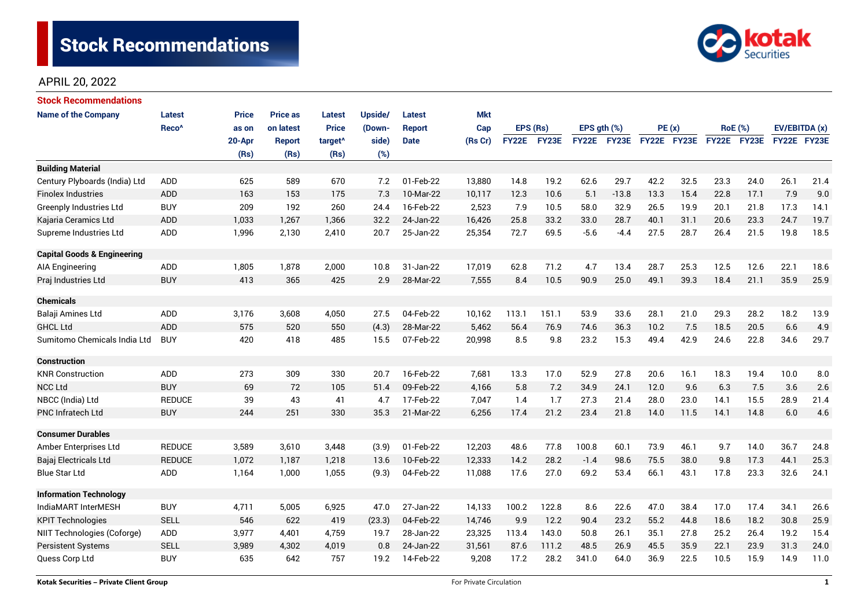

# APRIL 20, 2022

| <b>Stock Recommendations</b>           |                   |              |                 |                     |         |               |            |              |          |                  |                    |             |       |             |                |               |      |
|----------------------------------------|-------------------|--------------|-----------------|---------------------|---------|---------------|------------|--------------|----------|------------------|--------------------|-------------|-------|-------------|----------------|---------------|------|
| <b>Name of the Company</b>             | <b>Latest</b>     | <b>Price</b> | <b>Price as</b> | <b>Latest</b>       | Upside/ | <b>Latest</b> | <b>Mkt</b> |              |          |                  |                    |             |       |             |                |               |      |
|                                        | Reco <sup>^</sup> | as on        | on latest       | <b>Price</b>        | (Down-  | <b>Report</b> | Cap        |              | EPS (Rs) | EPS $gth$ $(\%)$ |                    |             | PE(x) |             | <b>RoE</b> (%) | EV/EBITDA (x) |      |
|                                        |                   | 20-Apr       | <b>Report</b>   | target <sup>^</sup> | side)   | <b>Date</b>   | (Rs Cr)    | <b>FY22E</b> | FY23E    |                  | <b>FY22E FY23E</b> | FY22E FY23E |       | FY22E FY23E |                | FY22E FY23E   |      |
|                                        |                   | (Rs)         | (Rs)            | (Rs)                | (%)     |               |            |              |          |                  |                    |             |       |             |                |               |      |
| <b>Building Material</b>               |                   |              |                 |                     |         |               |            |              |          |                  |                    |             |       |             |                |               |      |
| Century Plyboards (India) Ltd          | <b>ADD</b>        | 625          | 589             | 670                 | 7.2     | 01-Feb-22     | 13,880     | 14.8         | 19.2     | 62.6             | 29.7               | 42.2        | 32.5  | 23.3        | 24.0           | 26.1          | 21.4 |
| <b>Finolex Industries</b>              | <b>ADD</b>        | 163          | 153             | 175                 | 7.3     | 10-Mar-22     | 10,117     | 12.3         | 10.6     | 5.1              | $-13.8$            | 13.3        | 15.4  | 22.8        | 17.1           | 7.9           | 9.0  |
| <b>Greenply Industries Ltd</b>         | <b>BUY</b>        | 209          | 192             | 260                 | 24.4    | 16-Feb-22     | 2,523      | 7.9          | 10.5     | 58.0             | 32.9               | 26.5        | 19.9  | 20.1        | 21.8           | 17.3          | 14.1 |
| Kajaria Ceramics Ltd                   | <b>ADD</b>        | 1,033        | 1,267           | 1,366               | 32.2    | 24-Jan-22     | 16,426     | 25.8         | 33.2     | 33.0             | 28.7               | 40.1        | 31.1  | 20.6        | 23.3           | 24.7          | 19.7 |
| Supreme Industries Ltd                 | <b>ADD</b>        | 1,996        | 2,130           | 2,410               | 20.7    | 25-Jan-22     | 25,354     | 72.7         | 69.5     | $-5.6$           | $-4.4$             | 27.5        | 28.7  | 26.4        | 21.5           | 19.8          | 18.5 |
| <b>Capital Goods &amp; Engineering</b> |                   |              |                 |                     |         |               |            |              |          |                  |                    |             |       |             |                |               |      |
| AIA Engineering                        | ADD               | 1,805        | 1,878           | 2,000               | 10.8    | 31-Jan-22     | 17,019     | 62.8         | 71.2     | 4.7              | 13.4               | 28.7        | 25.3  | 12.5        | 12.6           | 22.1          | 18.6 |
| Praj Industries Ltd                    | <b>BUY</b>        | 413          | 365             | 425                 | 2.9     | 28-Mar-22     | 7,555      | 8.4          | 10.5     | 90.9             | 25.0               | 49.1        | 39.3  | 18.4        | 21.1           | 35.9          | 25.9 |
| <b>Chemicals</b>                       |                   |              |                 |                     |         |               |            |              |          |                  |                    |             |       |             |                |               |      |
| Balaji Amines Ltd                      | ADD               | 3,176        | 3,608           | 4,050               | 27.5    | 04-Feb-22     | 10,162     | 113.1        | 151.1    | 53.9             | 33.6               | 28.1        | 21.0  | 29.3        | 28.2           | 18.2          | 13.9 |
| <b>GHCL Ltd</b>                        | <b>ADD</b>        | 575          | 520             | 550                 | (4.3)   | 28-Mar-22     | 5,462      | 56.4         | 76.9     | 74.6             | 36.3               | 10.2        | 7.5   | 18.5        | 20.5           | 6.6           | 4.9  |
| Sumitomo Chemicals India Ltd           | <b>BUY</b>        | 420          | 418             | 485                 | 15.5    | 07-Feb-22     | 20,998     | 8.5          | 9.8      | 23.2             | 15.3               | 49.4        | 42.9  | 24.6        | 22.8           | 34.6          | 29.7 |
| <b>Construction</b>                    |                   |              |                 |                     |         |               |            |              |          |                  |                    |             |       |             |                |               |      |
| <b>KNR Construction</b>                | ADD               | 273          | 309             | 330                 | 20.7    | 16-Feb-22     | 7,681      | 13.3         | 17.0     | 52.9             | 27.8               | 20.6        | 16.1  | 18.3        | 19.4           | 10.0          | 8.0  |
| <b>NCC Ltd</b>                         | <b>BUY</b>        | 69           | 72              | 105                 | 51.4    | 09-Feb-22     | 4,166      | 5.8          | 7.2      | 34.9             | 24.1               | 12.0        | 9.6   | 6.3         | 7.5            | 3.6           | 2.6  |
| NBCC (India) Ltd                       | <b>REDUCE</b>     | 39           | 43              | 41                  | 4.7     | 17-Feb-22     | 7,047      | 1.4          | 1.7      | 27.3             | 21.4               | 28.0        | 23.0  | 14.1        | 15.5           | 28.9          | 21.4 |
| <b>PNC Infratech Ltd</b>               | <b>BUY</b>        | 244          | 251             | 330                 | 35.3    | 21-Mar-22     | 6,256      | 17.4         | 21.2     | 23.4             | 21.8               | 14.0        | 11.5  | 14.1        | 14.8           | 6.0           | 4.6  |
| <b>Consumer Durables</b>               |                   |              |                 |                     |         |               |            |              |          |                  |                    |             |       |             |                |               |      |
| Amber Enterprises Ltd                  | <b>REDUCE</b>     | 3,589        | 3,610           | 3,448               | (3.9)   | 01-Feb-22     | 12,203     | 48.6         | 77.8     | 100.8            | 60.1               | 73.9        | 46.1  | 9.7         | 14.0           | 36.7          | 24.8 |
| Bajaj Electricals Ltd                  | <b>REDUCE</b>     | 1,072        | 1,187           | 1,218               | 13.6    | 10-Feb-22     | 12,333     | 14.2         | 28.2     | $-1.4$           | 98.6               | 75.5        | 38.0  | 9.8         | 17.3           | 44.1          | 25.3 |
| <b>Blue Star Ltd</b>                   | <b>ADD</b>        | 1,164        | 1.000           | 1,055               | (9.3)   | 04-Feb-22     | 11,088     | 17.6         | 27.0     | 69.2             | 53.4               | 66.1        | 43.1  | 17.8        | 23.3           | 32.6          | 24.1 |
| <b>Information Technology</b>          |                   |              |                 |                     |         |               |            |              |          |                  |                    |             |       |             |                |               |      |
| IndiaMART InterMESH                    | <b>BUY</b>        | 4,711        | 5,005           | 6,925               | 47.0    | 27-Jan-22     | 14,133     | 100.2        | 122.8    | 8.6              | 22.6               | 47.0        | 38.4  | 17.0        | 17.4           | 34.1          | 26.6 |
| <b>KPIT Technologies</b>               | <b>SELL</b>       | 546          | 622             | 419                 | (23.3)  | 04-Feb-22     | 14,746     | 9.9          | 12.2     | 90.4             | 23.2               | 55.2        | 44.8  | 18.6        | 18.2           | 30.8          | 25.9 |
| NIIT Technologies (Coforge)            | ADD               | 3,977        | 4,401           | 4,759               | 19.7    | 28-Jan-22     | 23,325     | 113.4        | 143.0    | 50.8             | 26.1               | 35.1        | 27.8  | 25.2        | 26.4           | 19.2          | 15.4 |
| <b>Persistent Systems</b>              | <b>SELL</b>       | 3,989        | 4,302           | 4,019               | 0.8     | 24-Jan-22     | 31,561     | 87.6         | 111.2    | 48.5             | 26.9               | 45.5        | 35.9  | 22.1        | 23.9           | 31.3          | 24.0 |
| Quess Corp Ltd                         | <b>BUY</b>        | 635          | 642             | 757                 | 19.2    | 14-Feb-22     | 9,208      | 17.2         | 28.2     | 341.0            | 64.0               | 36.9        | 22.5  | 10.5        | 15.9           | 14.9          | 11.0 |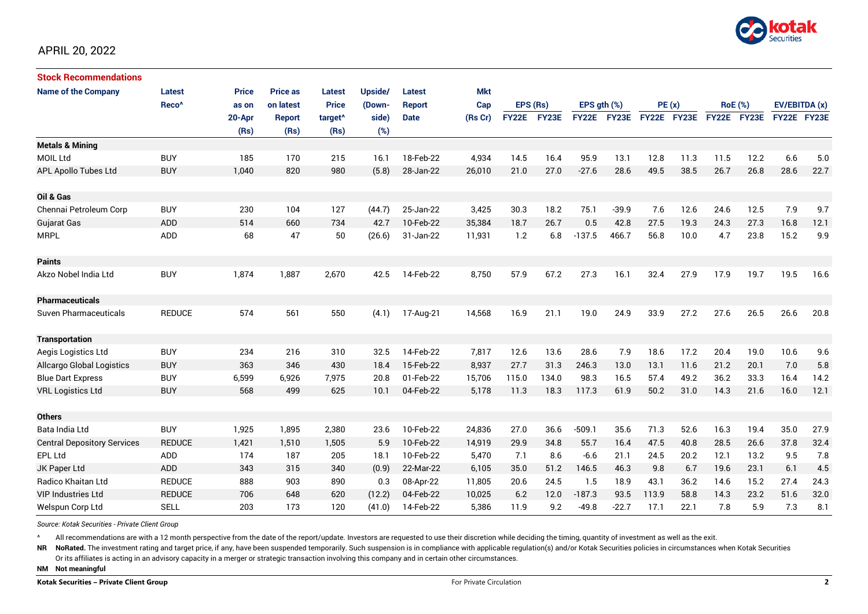

| <b>Stock Recommendations</b>       |                   |              |                 |                     |         |             |            |              |       |              |              |             |      |                |             |               |      |
|------------------------------------|-------------------|--------------|-----------------|---------------------|---------|-------------|------------|--------------|-------|--------------|--------------|-------------|------|----------------|-------------|---------------|------|
| <b>Name of the Company</b>         | Latest            | <b>Price</b> | <b>Price as</b> | <b>Latest</b>       | Upside/ | Latest      | <b>Mkt</b> |              |       |              |              |             |      |                |             |               |      |
|                                    | Reco <sup>^</sup> | as on        | on latest       | <b>Price</b>        | (Down-  | Report      | Cap        | EPS (Rs)     |       | EPS ath (%)  |              | PE(x)       |      | <b>RoE</b> (%) |             | EV/EBITDA (x) |      |
|                                    |                   | 20-Apr       | <b>Report</b>   | target <sup>^</sup> | side)   | <b>Date</b> | (Rs Cr)    | <b>FY22E</b> | FY23E | <b>FY22E</b> | <b>FY23E</b> | FY22E FY23E |      |                | FY22E FY23E | FY22E FY23E   |      |
|                                    |                   | (Rs)         | (Rs)            | (Rs)                | (%)     |             |            |              |       |              |              |             |      |                |             |               |      |
| <b>Metals &amp; Mining</b>         |                   |              |                 |                     |         |             |            |              |       |              |              |             |      |                |             |               |      |
| <b>MOIL Ltd</b>                    | <b>BUY</b>        | 185          | 170             | 215                 | 16.1    | 18-Feb-22   | 4,934      | 14.5         | 16.4  | 95.9         | 13.1         | 12.8        | 11.3 | 11.5           | 12.2        | 6.6           | 5.0  |
| APL Apollo Tubes Ltd               | <b>BUY</b>        | 1,040        | 820             | 980                 | (5.8)   | 28-Jan-22   | 26,010     | 21.0         | 27.0  | $-27.6$      | 28.6         | 49.5        | 38.5 | 26.7           | 26.8        | 28.6          | 22.7 |
| Oil & Gas                          |                   |              |                 |                     |         |             |            |              |       |              |              |             |      |                |             |               |      |
| Chennai Petroleum Corp             | <b>BUY</b>        | 230          | 104             | 127                 | (44.7)  | 25-Jan-22   | 3,425      | 30.3         | 18.2  | 75.1         | $-39.9$      | 7.6         | 12.6 | 24.6           | 12.5        | 7.9           | 9.7  |
| Gujarat Gas                        | <b>ADD</b>        | 514          | 660             | 734                 | 42.7    | 10-Feb-22   | 35,384     | 18.7         | 26.7  | 0.5          | 42.8         | 27.5        | 19.3 | 24.3           | 27.3        | 16.8          | 12.1 |
| <b>MRPL</b>                        | ADD               | 68           | 47              | 50                  | (26.6)  | 31-Jan-22   | 11,931     | 1.2          | 6.8   | $-137.5$     | 466.7        | 56.8        | 10.0 | 4.7            | 23.8        | 15.2          | 9.9  |
| <b>Paints</b>                      |                   |              |                 |                     |         |             |            |              |       |              |              |             |      |                |             |               |      |
| Akzo Nobel India Ltd               | <b>BUY</b>        | 1,874        | 1,887           | 2,670               | 42.5    | 14-Feb-22   | 8,750      | 57.9         | 67.2  | 27.3         | 16.1         | 32.4        | 27.9 | 17.9           | 19.7        | 19.5          | 16.6 |
| <b>Pharmaceuticals</b>             |                   |              |                 |                     |         |             |            |              |       |              |              |             |      |                |             |               |      |
| Suven Pharmaceuticals              | <b>REDUCE</b>     | 574          | 561             | 550                 | (4.1)   | 17-Aug-21   | 14,568     | 16.9         | 21.1  | 19.0         | 24.9         | 33.9        | 27.2 | 27.6           | 26.5        | 26.6          | 20.8 |
| <b>Transportation</b>              |                   |              |                 |                     |         |             |            |              |       |              |              |             |      |                |             |               |      |
| Aegis Logistics Ltd                | <b>BUY</b>        | 234          | 216             | 310                 | 32.5    | 14-Feb-22   | 7.817      | 12.6         | 13.6  | 28.6         | 7.9          | 18.6        | 17.2 | 20.4           | 19.0        | 10.6          | 9.6  |
| Allcargo Global Logistics          | <b>BUY</b>        | 363          | 346             | 430                 | 18.4    | 15-Feb-22   | 8,937      | 27.7         | 31.3  | 246.3        | 13.0         | 13.1        | 11.6 | 21.2           | 20.1        | 7.0           | 5.8  |
| <b>Blue Dart Express</b>           | <b>BUY</b>        | 6,599        | 6,926           | 7,975               | 20.8    | 01-Feb-22   | 15,706     | 115.0        | 134.0 | 98.3         | 16.5         | 57.4        | 49.2 | 36.2           | 33.3        | 16.4          | 14.2 |
| <b>VRL Logistics Ltd</b>           | <b>BUY</b>        | 568          | 499             | 625                 | 10.1    | 04-Feb-22   | 5,178      | 11.3         | 18.3  | 117.3        | 61.9         | 50.2        | 31.0 | 14.3           | 21.6        | 16.0          | 12.1 |
| <b>Others</b>                      |                   |              |                 |                     |         |             |            |              |       |              |              |             |      |                |             |               |      |
| Bata India Ltd                     | <b>BUY</b>        | 1,925        | 1,895           | 2,380               | 23.6    | 10-Feb-22   | 24,836     | 27.0         | 36.6  | $-509.1$     | 35.6         | 71.3        | 52.6 | 16.3           | 19.4        | 35.0          | 27.9 |
| <b>Central Depository Services</b> | <b>REDUCE</b>     | 1,421        | 1,510           | 1,505               | 5.9     | 10-Feb-22   | 14,919     | 29.9         | 34.8  | 55.7         | 16.4         | 47.5        | 40.8 | 28.5           | 26.6        | 37.8          | 32.4 |
| EPL Ltd                            | ADD               | 174          | 187             | 205                 | 18.1    | 10-Feb-22   | 5,470      | 7.1          | 8.6   | $-6.6$       | 21.1         | 24.5        | 20.2 | 12.1           | 13.2        | 9.5           | 7.8  |
| JK Paper Ltd                       | ADD               | 343          | 315             | 340                 | (0.9)   | 22-Mar-22   | 6,105      | 35.0         | 51.2  | 146.5        | 46.3         | 9.8         | 6.7  | 19.6           | 23.1        | 6.1           | 4.5  |
| Radico Khaitan Ltd                 | <b>REDUCE</b>     | 888          | 903             | 890                 | 0.3     | 08-Apr-22   | 11,805     | 20.6         | 24.5  | 1.5          | 18.9         | 43.1        | 36.2 | 14.6           | 15.2        | 27.4          | 24.3 |
| <b>VIP Industries Ltd</b>          | <b>REDUCE</b>     | 706          | 648             | 620                 | (12.2)  | 04-Feb-22   | 10,025     | 6.2          | 12.0  | $-187.3$     | 93.5         | 113.9       | 58.8 | 14.3           | 23.2        | 51.6          | 32.0 |
| Welspun Corp Ltd                   | <b>SELL</b>       | 203          | 173             | 120                 | (41.0)  | 14-Feb-22   | 5,386      | 11.9         | 9.2   | $-49.8$      | $-22.7$      | 17.1        | 22.1 | 7.8            | 5.9         | 7.3           | 8.1  |

*Source: Kotak Securities - Private Client Group*

All recommendations are with a 12 month perspective from the date of the report/update. Investors are requested to use their discretion while deciding the timing, quantity of investment as well as the exit.

NR NoRated. The investment rating and target price, if any, have been suspended temporarily. Such suspension is in compliance with applicable regulation(s) and/or Kotak Securities policies in circumstances when Kotak Secur

Or its affiliates is acting in an advisory capacity in a merger or strategic transaction involving this company and in certain other circumstances.

**NM Not meaningful**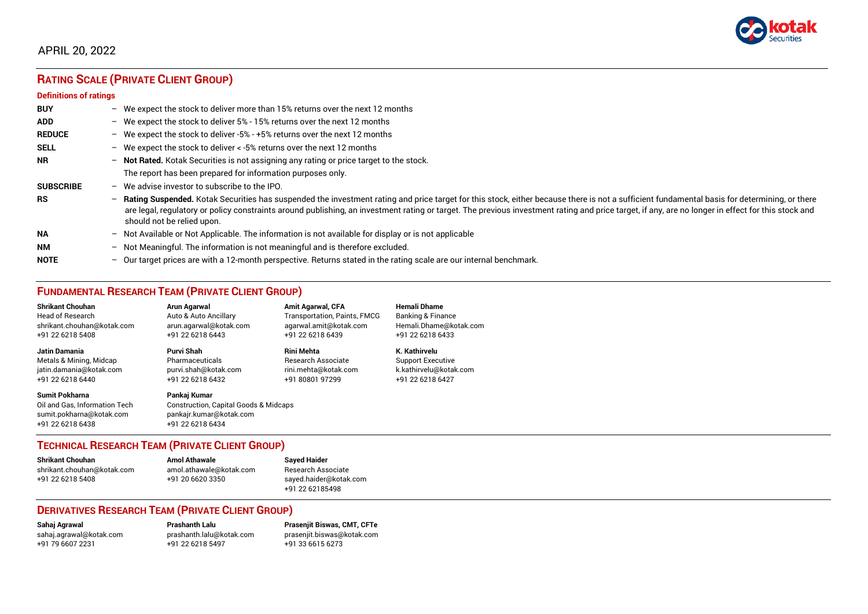

# APRIL 20, 2022

# **RATING SCALE (PRIVATE CLIENT GROUP)**

#### **Definitions of ratings**

| <b>BUY</b>       |                          | - We expect the stock to deliver more than 15% returns over the next 12 months                                                                                                                                                                                                                                                                                                                                                   |
|------------------|--------------------------|----------------------------------------------------------------------------------------------------------------------------------------------------------------------------------------------------------------------------------------------------------------------------------------------------------------------------------------------------------------------------------------------------------------------------------|
| <b>ADD</b>       |                          | - We expect the stock to deliver $5\%$ - 15% returns over the next 12 months                                                                                                                                                                                                                                                                                                                                                     |
| <b>REDUCE</b>    |                          | - We expect the stock to deliver -5% - +5% returns over the next 12 months                                                                                                                                                                                                                                                                                                                                                       |
| <b>SELL</b>      |                          | - We expect the stock to deliver $\lt$ -5% returns over the next 12 months                                                                                                                                                                                                                                                                                                                                                       |
| <b>NR</b>        |                          | - Not Rated. Kotak Securities is not assigning any rating or price target to the stock.                                                                                                                                                                                                                                                                                                                                          |
|                  |                          | The report has been prepared for information purposes only.                                                                                                                                                                                                                                                                                                                                                                      |
| <b>SUBSCRIBE</b> | $-$                      | We advise investor to subscribe to the IPO.                                                                                                                                                                                                                                                                                                                                                                                      |
| <b>RS</b>        | $\overline{\phantom{0}}$ | Rating Suspended. Kotak Securities has suspended the investment rating and price target for this stock, either because there is not a sufficient fundamental basis for determining, or there<br>are legal, regulatory or policy constraints around publishing, an investment rating or target. The previous investment rating and price target, if any, are no longer in effect for this stock and<br>should not be relied upon. |
| <b>NA</b>        |                          | $-$ Not Available or Not Applicable. The information is not available for display or is not applicable                                                                                                                                                                                                                                                                                                                           |
| <b>NM</b>        | $-$                      | Not Meaningful. The information is not meaningful and is therefore excluded.                                                                                                                                                                                                                                                                                                                                                     |
| <b>NOTE</b>      |                          | - Our target prices are with a 12-month perspective. Returns stated in the rating scale are our internal benchmark.                                                                                                                                                                                                                                                                                                              |

# **FUNDAMENTAL RESEARCH TEAM (PRIVATE CLIENT GROUP)**

| <b>Shrikant Chouhan</b>                                                                                | Arun Agarwal                                                                                                    | <b>Amit Agarwal, CFA</b>            | <b>Hemali Dhame</b>      |
|--------------------------------------------------------------------------------------------------------|-----------------------------------------------------------------------------------------------------------------|-------------------------------------|--------------------------|
| <b>Head of Research</b>                                                                                | Auto & Auto Ancillary                                                                                           | <b>Transportation, Paints, FMCG</b> | Banking & Finance        |
| shrikant.chouhan@kotak.com                                                                             | arun.agarwal@kotak.com                                                                                          | agarwal.amit@kotak.com              | Hemali.Dhame@kotak.com   |
| +91 22 6218 5408                                                                                       | +91 22 6218 6443                                                                                                | +91 22 6218 6439                    | +91 22 6218 6433         |
| Jatin Damania                                                                                          | Purvi Shah                                                                                                      | Rini Mehta                          | K. Kathirvelu            |
| Metals & Mining, Midcap                                                                                | Pharmaceuticals                                                                                                 | <b>Research Associate</b>           | <b>Support Executive</b> |
| jatin.damania@kotak.com                                                                                | purvi.shah@kotak.com                                                                                            | rini.mehta@kotak.com                | k.kathirvelu@kotak.com   |
| +91 22 6218 6440                                                                                       | +91 22 6218 6432                                                                                                | +91 80801 97299                     | +91 22 6218 6427         |
| <b>Sumit Pokharna</b><br>Oil and Gas, Information Tech<br>sumit.pokharna@kotak.com<br>+91 22 6218 6438 | Pankaj Kumar<br><b>Construction, Capital Goods &amp; Midcaps</b><br>pankajr.kumar@kotak.com<br>+91 22 6218 6434 |                                     |                          |

## **TECHNICAL RESEARCH TEAM (PRIVATE CLIENT GROUP)**

| <b>Shrikant Chouhan</b>    | <b>Amol Athawale</b>    |  |
|----------------------------|-------------------------|--|
| shrikant.chouhan@kotak.com | amol.athawale@kotak.com |  |
| +91 22 6218 5408           | +91 20 6620 3350        |  |
|                            |                         |  |

#### **Sayed Haider** Research Associate [sayed.haider@kotak.com](mailto:sayed.haider@kotak.com) +91 22 62185498

## **DERIVATIVES RESEARCH TEAM (PRIVATE CLIENT GROUP)**

+91 22 6218 5497 +91 33 6615 6273

**Sahaj Agrawal Prashanth Lalu Prasenjit Biswas, CMT, CFTe** [sahaj.agrawal@kotak.com](mailto:sahaj.agrawal@kotak.com) [prashanth.lalu@kotak.com](mailto:prashanth.lalu@kotak.com) [prasenjit.biswas@kotak.com](mailto:prasenjit.biswas@kotak.com)